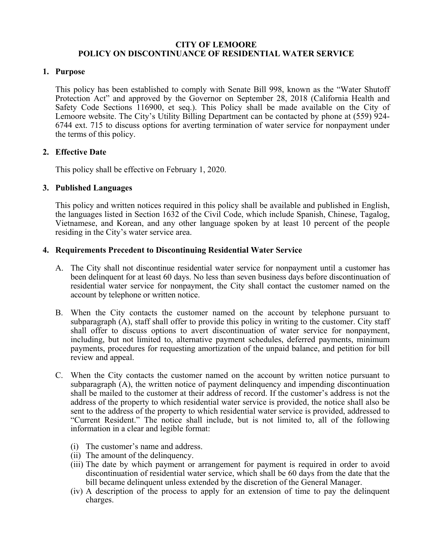### **CITY OF LEMOORE POLICY ON DISCONTINUANCE OF RESIDENTIAL WATER SERVICE**

## **1. Purpose**

This policy has been established to comply with Senate Bill 998, known as the "Water Shutoff Protection Act" and approved by the Governor on September 28, 2018 (California Health and Safety Code Sections 116900, et seq.). This Policy shall be made available on the City of Lemoore website. The City's Utility Billing Department can be contacted by phone at (559) 924- 6744 ext. 715 to discuss options for averting termination of water service for nonpayment under the terms of this policy.

# **2. Effective Date**

This policy shall be effective on February 1, 2020.

# **3. Published Languages**

This policy and written notices required in this policy shall be available and published in English, the languages listed in Section 1632 of the Civil Code, which include Spanish, Chinese, Tagalog, Vietnamese, and Korean, and any other language spoken by at least 10 percent of the people residing in the City's water service area.

# **4. Requirements Precedent to Discontinuing Residential Water Service**

- A. The City shall not discontinue residential water service for nonpayment until a customer has been delinquent for at least 60 days. No less than seven business days before discontinuation of residential water service for nonpayment, the City shall contact the customer named on the account by telephone or written notice.
- B. When the City contacts the customer named on the account by telephone pursuant to subparagraph (A), staff shall offer to provide this policy in writing to the customer. City staff shall offer to discuss options to avert discontinuation of water service for nonpayment, including, but not limited to, alternative payment schedules, deferred payments, minimum payments, procedures for requesting amortization of the unpaid balance, and petition for bill review and appeal.
- C. When the City contacts the customer named on the account by written notice pursuant to subparagraph (A), the written notice of payment delinquency and impending discontinuation shall be mailed to the customer at their address of record. If the customer's address is not the address of the property to which residential water service is provided, the notice shall also be sent to the address of the property to which residential water service is provided, addressed to "Current Resident." The notice shall include, but is not limited to, all of the following information in a clear and legible format:
	- (i) The customer's name and address.
	- (ii) The amount of the delinquency.
	- (iii) The date by which payment or arrangement for payment is required in order to avoid discontinuation of residential water service, which shall be 60 days from the date that the bill became delinquent unless extended by the discretion of the General Manager.
	- (iv) A description of the process to apply for an extension of time to pay the delinquent charges.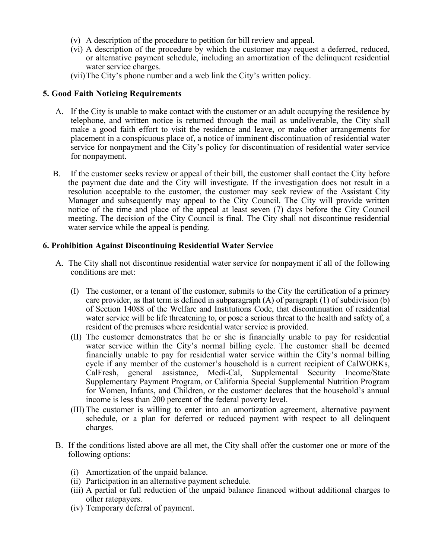- (v) A description of the procedure to petition for bill review and appeal.
- (vi) A description of the procedure by which the customer may request a deferred, reduced, or alternative payment schedule, including an amortization of the delinquent residential water service charges.
- (vii)The City's phone number and a web link the City's written policy.

#### **5. Good Faith Noticing Requirements**

- A. If the City is unable to make contact with the customer or an adult occupying the residence by telephone, and written notice is returned through the mail as undeliverable, the City shall make a good faith effort to visit the residence and leave, or make other arrangements for placement in a conspicuous place of, a notice of imminent discontinuation of residential water service for nonpayment and the City's policy for discontinuation of residential water service for nonpayment.
- B. If the customer seeks review or appeal of their bill, the customer shall contact the City before the payment due date and the City will investigate. If the investigation does not result in a resolution acceptable to the customer, the customer may seek review of the Assistant City Manager and subsequently may appeal to the City Council. The City will provide written notice of the time and place of the appeal at least seven (7) days before the City Council meeting. The decision of the City Council is final. The City shall not discontinue residential water service while the appeal is pending.

#### **6. Prohibition Against Discontinuing Residential Water Service**

- A. The City shall not discontinue residential water service for nonpayment if all of the following conditions are met:
	- (I) The customer, or a tenant of the customer, submits to the City the certification of a primary care provider, as that term is defined in subparagraph  $(A)$  of paragraph  $(1)$  of subdivision  $(b)$ of Section 14088 of the Welfare and Institutions Code, that discontinuation of residential water service will be life threatening to, or pose a serious threat to the health and safety of, a resident of the premises where residential water service is provided.
	- (II) The customer demonstrates that he or she is financially unable to pay for residential water service within the City's normal billing cycle. The customer shall be deemed financially unable to pay for residential water service within the City's normal billing cycle if any member of the customer's household is a current recipient of CalWORKs, CalFresh, general assistance, Medi-Cal, Supplemental Security Income/State Supplementary Payment Program, or California Special Supplemental Nutrition Program for Women, Infants, and Children, or the customer declares that the household's annual income is less than 200 percent of the federal poverty level.
	- (III) The customer is willing to enter into an amortization agreement, alternative payment schedule, or a plan for deferred or reduced payment with respect to all delinquent charges.
- B. If the conditions listed above are all met, the City shall offer the customer one or more of the following options:
	- (i) Amortization of the unpaid balance.
	- (ii) Participation in an alternative payment schedule.
	- (iii) A partial or full reduction of the unpaid balance financed without additional charges to other ratepayers.
	- (iv) Temporary deferral of payment.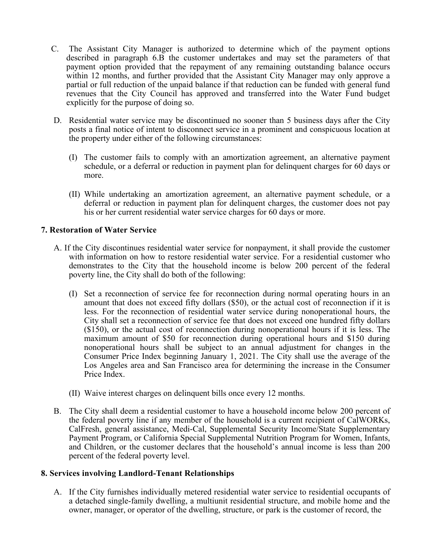- C. The Assistant City Manager is authorized to determine which of the payment options described in paragraph 6.B the customer undertakes and may set the parameters of that payment option provided that the repayment of any remaining outstanding balance occurs within 12 months, and further provided that the Assistant City Manager may only approve a partial or full reduction of the unpaid balance if that reduction can be funded with general fund revenues that the City Council has approved and transferred into the Water Fund budget explicitly for the purpose of doing so.
- D. Residential water service may be discontinued no sooner than 5 business days after the City posts a final notice of intent to disconnect service in a prominent and conspicuous location at the property under either of the following circumstances:
	- (I) The customer fails to comply with an amortization agreement, an alternative payment schedule, or a deferral or reduction in payment plan for delinquent charges for 60 days or more.
	- (II) While undertaking an amortization agreement, an alternative payment schedule, or a deferral or reduction in payment plan for delinquent charges, the customer does not pay his or her current residential water service charges for 60 days or more.

# **7. Restoration of Water Service**

- A. If the City discontinues residential water service for nonpayment, it shall provide the customer with information on how to restore residential water service. For a residential customer who demonstrates to the City that the household income is below 200 percent of the federal poverty line, the City shall do both of the following:
	- (I) Set a reconnection of service fee for reconnection during normal operating hours in an amount that does not exceed fifty dollars (\$50), or the actual cost of reconnection if it is less. For the reconnection of residential water service during nonoperational hours, the City shall set a reconnection of service fee that does not exceed one hundred fifty dollars (\$150), or the actual cost of reconnection during nonoperational hours if it is less. The maximum amount of \$50 for reconnection during operational hours and \$150 during nonoperational hours shall be subject to an annual adjustment for changes in the Consumer Price Index beginning January 1, 2021. The City shall use the average of the Los Angeles area and San Francisco area for determining the increase in the Consumer Price Index.
	- (II) Waive interest charges on delinquent bills once every 12 months.
- B. The City shall deem a residential customer to have a household income below 200 percent of the federal poverty line if any member of the household is a current recipient of CalWORKs, CalFresh, general assistance, Medi-Cal, Supplemental Security Income/State Supplementary Payment Program, or California Special Supplemental Nutrition Program for Women, Infants, and Children, or the customer declares that the household's annual income is less than 200 percent of the federal poverty level.

## **8. Services involving Landlord-Tenant Relationships**

A. If the City furnishes individually metered residential water service to residential occupants of a detached single-family dwelling, a multiunit residential structure, and mobile home and the owner, manager, or operator of the dwelling, structure, or park is the customer of record, the